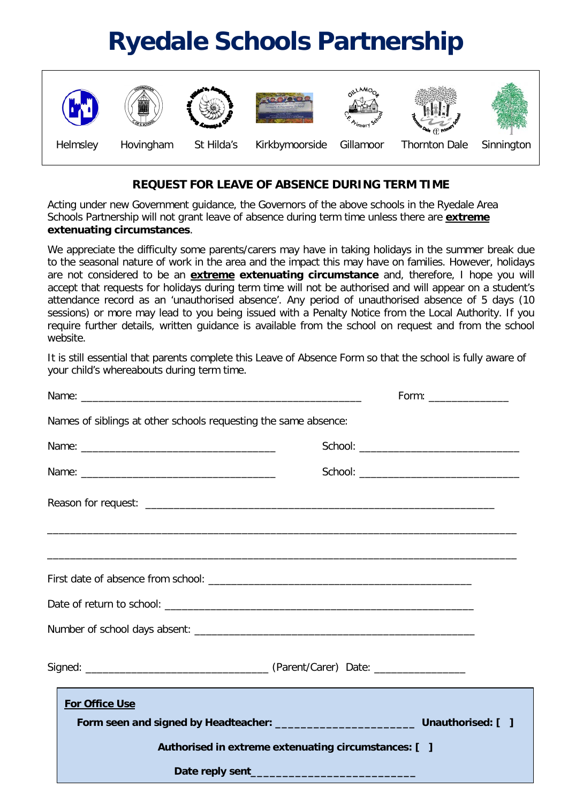## **Ryedale Schools Partnership**



## **REQUEST FOR LEAVE OF ABSENCE DURING TERM TIME**

Acting under new Government guidance, the Governors of the above schools in the Ryedale Area Schools Partnership will not grant leave of absence during term time unless there are **extreme extenuating circumstances**.

We appreciate the difficulty some parents/carers may have in taking holidays in the summer break due to the seasonal nature of work in the area and the impact this may have on families. However, holidays are not considered to be an **extreme extenuating circumstance** and, therefore, I hope you will accept that requests for holidays during term time will not be authorised and will appear on a student's attendance record as an 'unauthorised absence'. Any period of unauthorised absence of 5 days (10 sessions) or more may lead to you being issued with a Penalty Notice from the Local Authority. If you require further details, written guidance is available from the school on request and from the school website.

It is still essential that parents complete this Leave of Absence Form so that the school is fully aware of your child's whereabouts during term time.

|  | Names of siblings at other schools requesting the same absence:                                                           |  |
|--|---------------------------------------------------------------------------------------------------------------------------|--|
|  |                                                                                                                           |  |
|  | School: __________________________________                                                                                |  |
|  |                                                                                                                           |  |
|  | <u> 1990 - Jan James Barn, Amerikaansk politiker (d. 1980)</u><br><u> 1990 - Jan Lander, amerikansk politik (d. 1980)</u> |  |
|  |                                                                                                                           |  |
|  |                                                                                                                           |  |
|  |                                                                                                                           |  |
|  |                                                                                                                           |  |
|  | For Office Use                                                                                                            |  |
|  |                                                                                                                           |  |
|  | Authorised in extreme extenuating circumstances: [ ]                                                                      |  |
|  |                                                                                                                           |  |